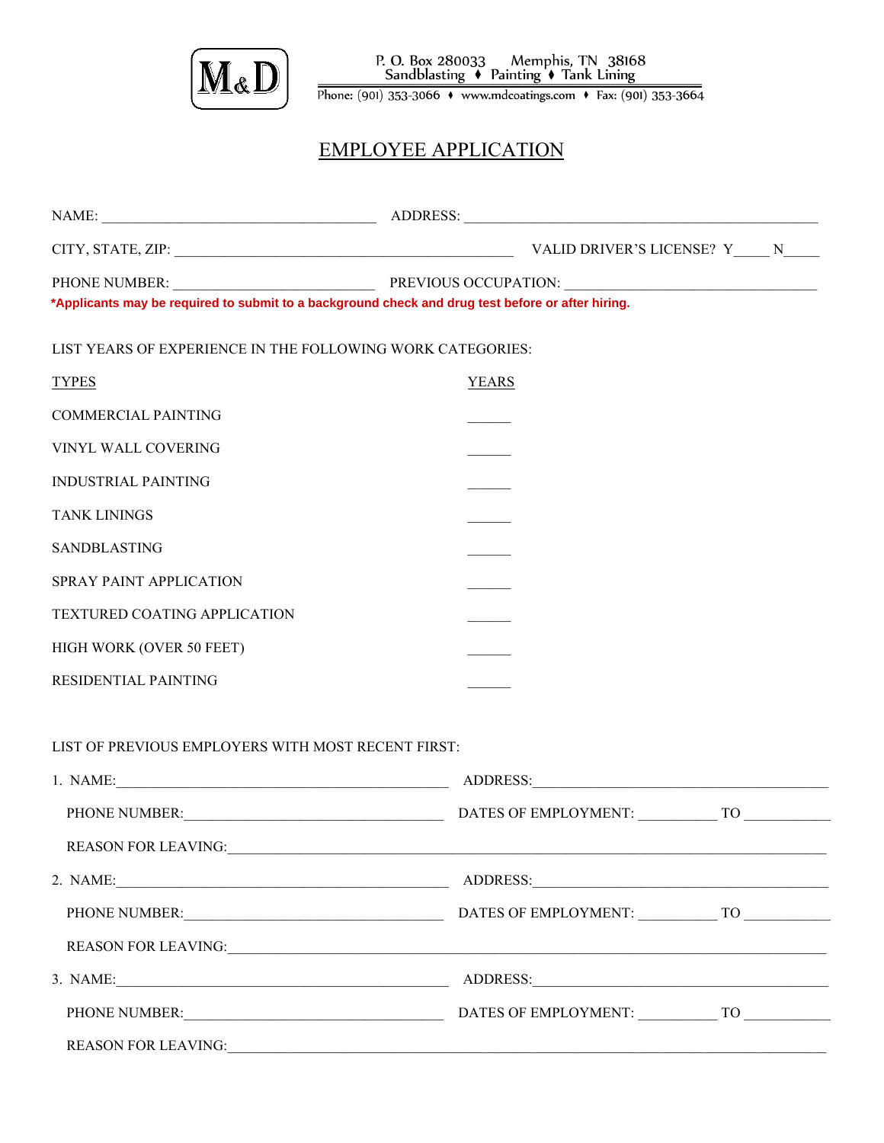

Phone: (901) 353-3066 • www.mdcoatings.com • Fax: (901) 353-3664

## EMPLOYEE APPLICATION

| *Applicants may be required to submit to a background check and drug test before or after hiring. |                                                                                                                                                                                                                                |
|---------------------------------------------------------------------------------------------------|--------------------------------------------------------------------------------------------------------------------------------------------------------------------------------------------------------------------------------|
| LIST YEARS OF EXPERIENCE IN THE FOLLOWING WORK CATEGORIES:                                        |                                                                                                                                                                                                                                |
| <b>TYPES</b>                                                                                      | <b>YEARS</b>                                                                                                                                                                                                                   |
| <b>COMMERCIAL PAINTING</b>                                                                        |                                                                                                                                                                                                                                |
| VINYL WALL COVERING                                                                               |                                                                                                                                                                                                                                |
| <b>INDUSTRIAL PAINTING</b>                                                                        |                                                                                                                                                                                                                                |
| <b>TANK LININGS</b>                                                                               |                                                                                                                                                                                                                                |
| <b>SANDBLASTING</b>                                                                               |                                                                                                                                                                                                                                |
| SPRAY PAINT APPLICATION                                                                           |                                                                                                                                                                                                                                |
| TEXTURED COATING APPLICATION                                                                      |                                                                                                                                                                                                                                |
| HIGH WORK (OVER 50 FEET)                                                                          |                                                                                                                                                                                                                                |
| RESIDENTIAL PAINTING                                                                              |                                                                                                                                                                                                                                |
| LIST OF PREVIOUS EMPLOYERS WITH MOST RECENT FIRST:                                                |                                                                                                                                                                                                                                |
|                                                                                                   |                                                                                                                                                                                                                                |
|                                                                                                   | PHONE NUMBER: TO THE BERGER OF EMPLOYMENT: TO THE BERGER OF EMPLOYMENT:                                                                                                                                                        |
|                                                                                                   | REASON FOR LEAVING:                                                                                                                                                                                                            |
|                                                                                                   | 2. NAME: 2. NAME: 2. NAME: 2. NAME: 2. NAME: 2. NAME: 2. NAME: 2. NAME: 2. NAME: 2. NAME: 2. NAME: 2. NAME: 2. NAME: 2. NAME: 2. NAME: 2. NAME: 2. NAME: 2. NAME: 2. NAME: 2. NAME: 2. NAME: 2. NAME: 2. NAME: 2. NAME: 2. NAM |
|                                                                                                   | PHONE NUMBER: TO THE BEST OF EMPLOYMENT: TO THE BEST OF EMPLOYMENT:                                                                                                                                                            |
|                                                                                                   |                                                                                                                                                                                                                                |
|                                                                                                   |                                                                                                                                                                                                                                |
|                                                                                                   | PHONE NUMBER: TO THE BERGER OF EMPLOYMENT: TO THE BERGER OF EMPLOYMENT:                                                                                                                                                        |
|                                                                                                   |                                                                                                                                                                                                                                |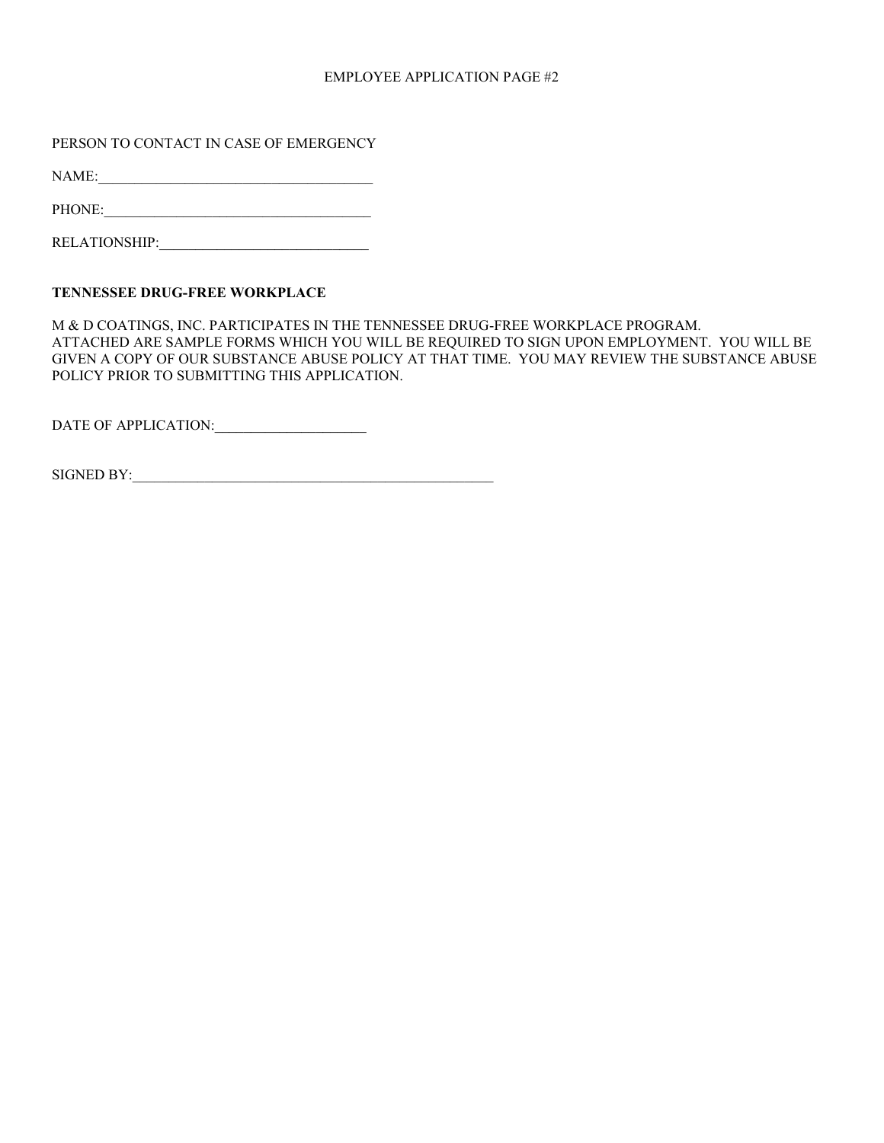#### EMPLOYEE APPLICATION PAGE #2

PERSON TO CONTACT IN CASE OF EMERGENCY

NAME:

PHONE:\_\_\_\_\_\_\_\_\_\_\_\_\_\_\_\_\_\_\_\_\_\_\_\_\_\_\_\_\_\_\_\_\_\_\_\_\_

RELATIONSHIP:\_\_\_\_\_\_\_\_\_\_\_\_\_\_\_\_\_\_\_\_\_\_\_\_\_\_\_\_\_

#### **TENNESSEE DRUG-FREE WORKPLACE**

M & D COATINGS, INC. PARTICIPATES IN THE TENNESSEE DRUG-FREE WORKPLACE PROGRAM. ATTACHED ARE SAMPLE FORMS WHICH YOU WILL BE REQUIRED TO SIGN UPON EMPLOYMENT. YOU WILL BE GIVEN A COPY OF OUR SUBSTANCE ABUSE POLICY AT THAT TIME. YOU MAY REVIEW THE SUBSTANCE ABUSE POLICY PRIOR TO SUBMITTING THIS APPLICATION.

DATE OF APPLICATION:\_\_\_\_\_\_\_\_\_\_\_\_\_\_\_\_\_\_\_\_\_

| SIGNED BY: |  |
|------------|--|
|            |  |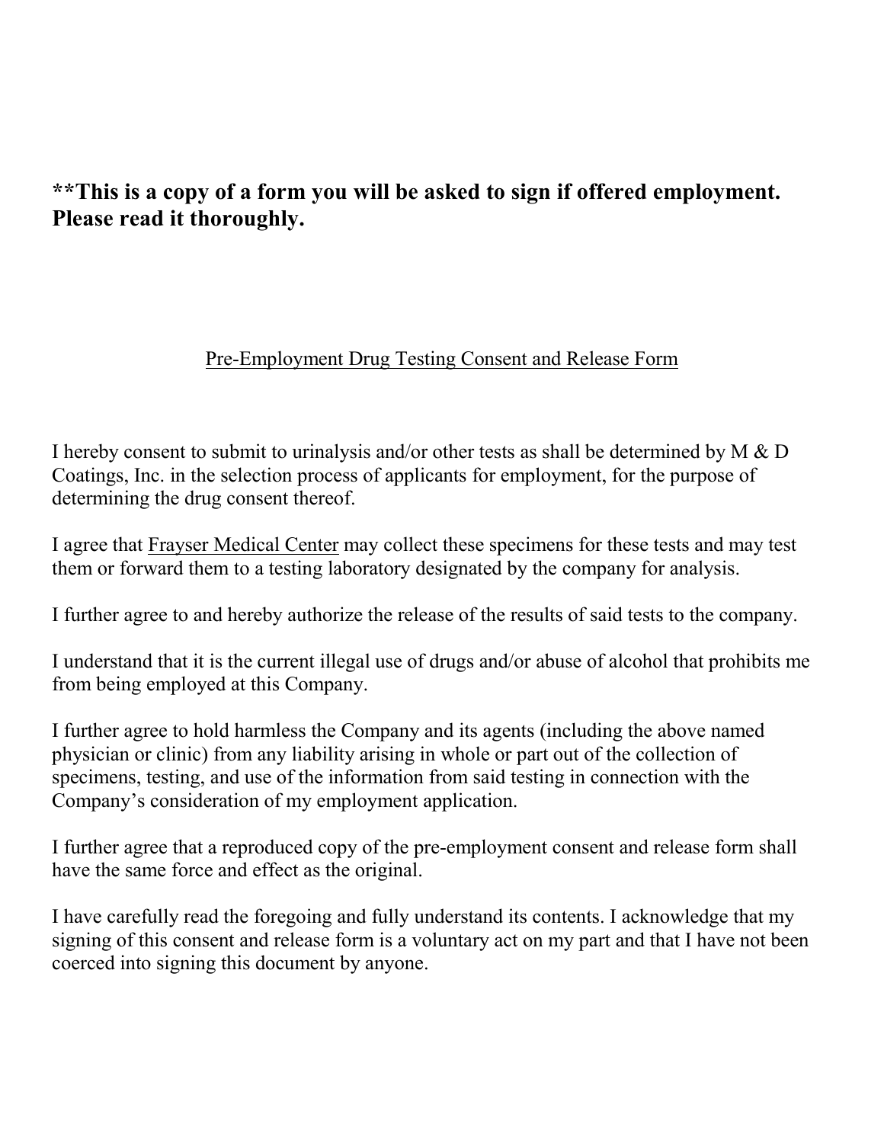# **\*\*This is a copy of a form you will be asked to sign if offered employment. Please read it thoroughly.**

### Pre-Employment Drug Testing Consent and Release Form

I hereby consent to submit to urinalysis and/or other tests as shall be determined by M & D Coatings, Inc. in the selection process of applicants for employment, for the purpose of determining the drug consent thereof.

I agree that Frayser Medical Center may collect these specimens for these tests and may test them or forward them to a testing laboratory designated by the company for analysis.

I further agree to and hereby authorize the release of the results of said tests to the company.

I understand that it is the current illegal use of drugs and/or abuse of alcohol that prohibits me from being employed at this Company.

I further agree to hold harmless the Company and its agents (including the above named physician or clinic) from any liability arising in whole or part out of the collection of specimens, testing, and use of the information from said testing in connection with the Company's consideration of my employment application.

I further agree that a reproduced copy of the pre-employment consent and release form shall have the same force and effect as the original.

I have carefully read the foregoing and fully understand its contents. I acknowledge that my signing of this consent and release form is a voluntary act on my part and that I have not been coerced into signing this document by anyone.